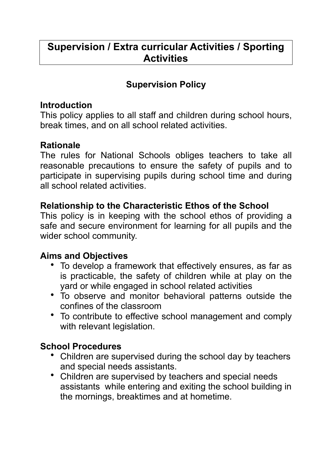# **Supervision / Extra curricular Activities / Sporting Activities**

## **Supervision Policy**

#### **Introduction**

This policy applies to all staff and children during school hours, break times, and on all school related activities.

## **Rationale**

The rules for National Schools obliges teachers to take all reasonable precautions to ensure the safety of pupils and to participate in supervising pupils during school time and during all school related activities.

#### **Relationship to the Characteristic Ethos of the School**

This policy is in keeping with the school ethos of providing a safe and secure environment for learning for all pupils and the wider school community.

## **Aims and Objectives**

- To develop a framework that effectively ensures, as far as is practicable, the safety of children while at play on the yard or while engaged in school related activities
- To observe and monitor behavioral patterns outside the confines of the classroom
- To contribute to effective school management and comply with relevant legislation.

## **School Procedures**

- Children are supervised during the school day by teachers and special needs assistants.
- Children are supervised by teachers and special needs assistants while entering and exiting the school building in the mornings, breaktimes and at hometime.